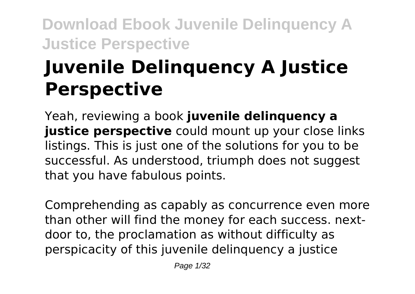# **Juvenile Delinquency A Justice Perspective**

Yeah, reviewing a book **juvenile delinquency a justice perspective** could mount up your close links listings. This is just one of the solutions for you to be successful. As understood, triumph does not suggest that you have fabulous points.

Comprehending as capably as concurrence even more than other will find the money for each success. nextdoor to, the proclamation as without difficulty as perspicacity of this juvenile delinquency a justice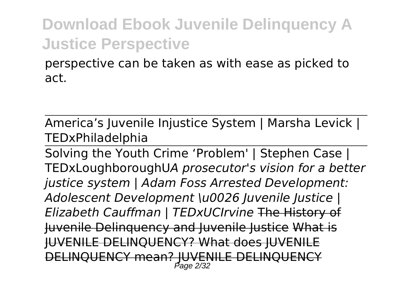perspective can be taken as with ease as picked to act.

America's Juvenile Injustice System | Marsha Levick | TEDxPhiladelphia

Solving the Youth Crime 'Problem' | Stephen Case | TEDxLoughboroughU*A prosecutor's vision for a better justice system | Adam Foss Arrested Development: Adolescent Development \u0026 Juvenile Justice | Elizabeth Cauffman | TEDxUCIrvine* The History of Juvenile Delinquency and Juvenile Justice What is JUVENILE DELINQUENCY? What does JUVENILE DELINQUENCY mean? JUVENILE DELINQUENCY Page 2/32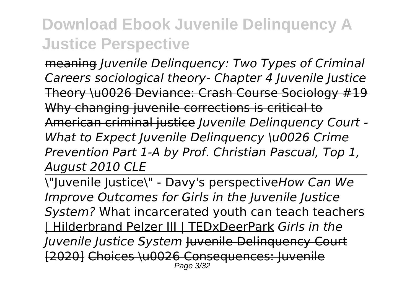meaning *Juvenile Delinquency: Two Types of Criminal Careers sociological theory- Chapter 4 Juvenile Justice* Theory \u0026 Deviance: Crash Course Sociology #19 Why changing juvenile corrections is critical to American criminal justice *Juvenile Delinquency Court - What to Expect Juvenile Delinquency \u0026 Crime Prevention Part 1-A by Prof. Christian Pascual, Top 1, August 2010 CLE*

\"Juvenile Justice\" - Davy's perspective*How Can We Improve Outcomes for Girls in the Juvenile Justice System?* What incarcerated youth can teach teachers | Hilderbrand Pelzer III | TEDxDeerPark *Girls in the Juvenile Justice System* Juvenile Delinquency Court [2020] Choices \u0026 Consequences: Juvenile Page 3/32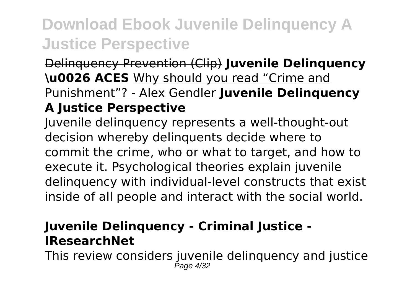Delinquency Prevention (Clip) **Juvenile Delinquency \u0026 ACES** Why should you read "Crime and Punishment"? - Alex Gendler **Juvenile Delinquency**

#### **A Justice Perspective**

Juvenile delinquency represents a well-thought-out decision whereby delinquents decide where to commit the crime, who or what to target, and how to execute it. Psychological theories explain juvenile delinquency with individual-level constructs that exist inside of all people and interact with the social world.

#### **Juvenile Delinquency - Criminal Justice - IResearchNet**

This review considers juvenile delinquency and justice Page 4/32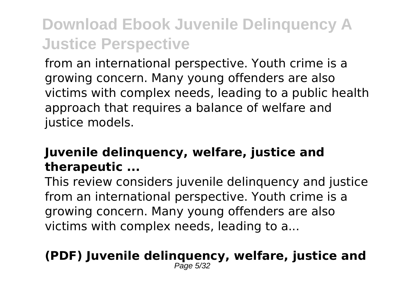from an international perspective. Youth crime is a growing concern. Many young offenders are also victims with complex needs, leading to a public health approach that requires a balance of welfare and justice models.

#### **Juvenile delinquency, welfare, justice and therapeutic ...**

This review considers juvenile delinquency and justice from an international perspective. Youth crime is a growing concern. Many young offenders are also victims with complex needs, leading to a...

#### **(PDF) Juvenile delinquency, welfare, justice and**  $P$ age 5/32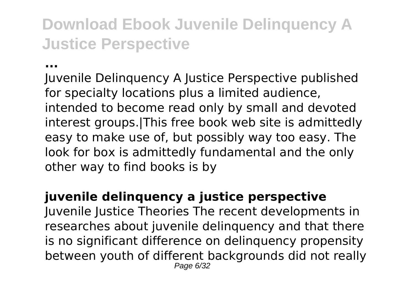**...**

Juvenile Delinquency A Justice Perspective published for specialty locations plus a limited audience, intended to become read only by small and devoted interest groups.|This free book web site is admittedly easy to make use of, but possibly way too easy. The look for box is admittedly fundamental and the only other way to find books is by

#### **juvenile delinquency a justice perspective**

Juvenile Justice Theories The recent developments in researches about juvenile delinquency and that there is no significant difference on delinquency propensity between youth of different backgrounds did not really Page 6/32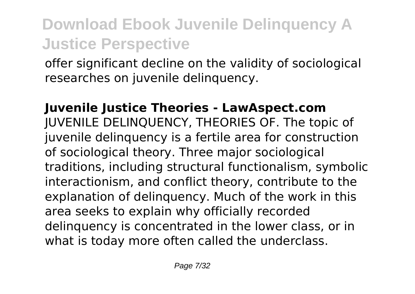offer significant decline on the validity of sociological researches on juvenile delinquency.

**Juvenile Justice Theories - LawAspect.com** JUVENILE DELINQUENCY, THEORIES OF. The topic of juvenile delinquency is a fertile area for construction of sociological theory. Three major sociological traditions, including structural functionalism, symbolic interactionism, and conflict theory, contribute to the explanation of delinquency. Much of the work in this area seeks to explain why officially recorded delinquency is concentrated in the lower class, or in what is today more often called the underclass.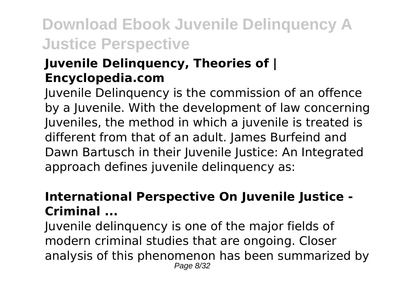#### **Juvenile Delinquency, Theories of | Encyclopedia.com**

Juvenile Delinquency is the commission of an offence by a Juvenile. With the development of law concerning Juveniles, the method in which a juvenile is treated is different from that of an adult. James Burfeind and Dawn Bartusch in their Juvenile Justice: An Integrated approach defines juvenile delinquency as:

#### **International Perspective On Juvenile Justice - Criminal ...**

Juvenile delinquency is one of the major fields of modern criminal studies that are ongoing. Closer analysis of this phenomenon has been summarized by Page 8/32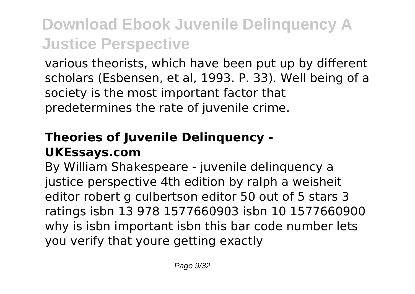various theorists, which have been put up by different scholars (Esbensen, et al, 1993. P. 33). Well being of a society is the most important factor that predetermines the rate of juvenile crime.

#### **Theories of Juvenile Delinquency - UKEssays.com**

By William Shakespeare - juvenile delinquency a justice perspective 4th edition by ralph a weisheit editor robert g culbertson editor 50 out of 5 stars 3 ratings isbn 13 978 1577660903 isbn 10 1577660900 why is isbn important isbn this bar code number lets you verify that youre getting exactly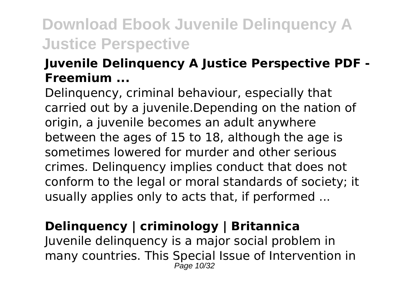#### **Juvenile Delinquency A Justice Perspective PDF - Freemium ...**

Delinquency, criminal behaviour, especially that carried out by a juvenile.Depending on the nation of origin, a juvenile becomes an adult anywhere between the ages of 15 to 18, although the age is sometimes lowered for murder and other serious crimes. Delinquency implies conduct that does not conform to the legal or moral standards of society; it usually applies only to acts that, if performed ...

### **Delinquency | criminology | Britannica**

Juvenile delinquency is a major social problem in many countries. This Special Issue of Intervention in Page 10/32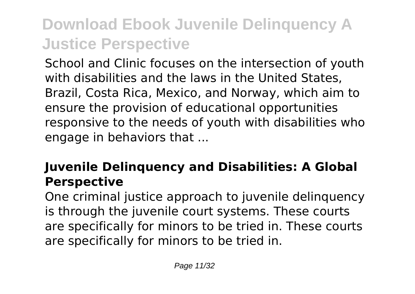School and Clinic focuses on the intersection of youth with disabilities and the laws in the United States, Brazil, Costa Rica, Mexico, and Norway, which aim to ensure the provision of educational opportunities responsive to the needs of youth with disabilities who engage in behaviors that ...

### **Juvenile Delinquency and Disabilities: A Global Perspective**

One criminal justice approach to juvenile delinquency is through the juvenile court systems. These courts are specifically for minors to be tried in. These courts are specifically for minors to be tried in.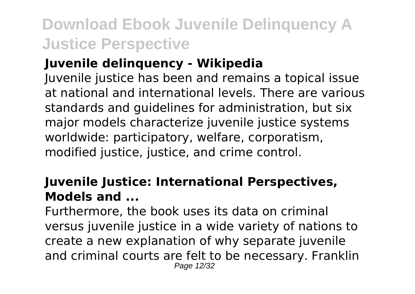#### **Juvenile delinquency - Wikipedia**

Juvenile justice has been and remains a topical issue at national and international levels. There are various standards and guidelines for administration, but six major models characterize juvenile justice systems worldwide: participatory, welfare, corporatism, modified justice, justice, and crime control.

#### **Juvenile Justice: International Perspectives, Models and ...**

Furthermore, the book uses its data on criminal versus juvenile justice in a wide variety of nations to create a new explanation of why separate juvenile and criminal courts are felt to be necessary. Franklin Page 12/32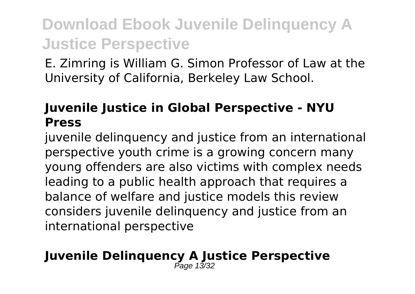E. Zimring is William G. Simon Professor of Law at the University of California, Berkeley Law School.

#### **Juvenile Justice in Global Perspective - NYU Press**

juvenile delinquency and justice from an international perspective youth crime is a growing concern many young offenders are also victims with complex needs leading to a public health approach that requires a balance of welfare and justice models this review considers juvenile delinquency and justice from an international perspective

#### **Juvenile Delinquency A Justice Perspective** Page 13/32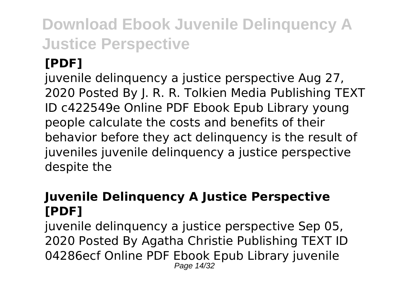### **[PDF]**

juvenile delinquency a justice perspective Aug 27, 2020 Posted By J. R. R. Tolkien Media Publishing TEXT ID c422549e Online PDF Ebook Epub Library young people calculate the costs and benefits of their behavior before they act delinquency is the result of juveniles juvenile delinquency a justice perspective despite the

#### **Juvenile Delinquency A Justice Perspective [PDF]**

juvenile delinquency a justice perspective Sep 05, 2020 Posted By Agatha Christie Publishing TEXT ID 04286ecf Online PDF Ebook Epub Library juvenile Page 14/32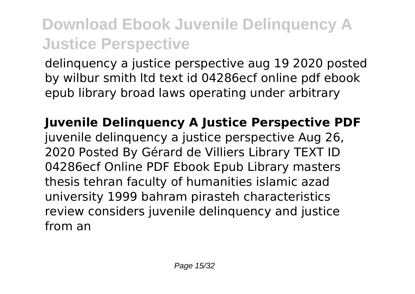delinquency a justice perspective aug 19 2020 posted by wilbur smith ltd text id 04286ecf online pdf ebook epub library broad laws operating under arbitrary

**Juvenile Delinquency A Justice Perspective PDF** juvenile delinquency a justice perspective Aug 26, 2020 Posted By Gérard de Villiers Library TEXT ID 04286ecf Online PDF Ebook Epub Library masters thesis tehran faculty of humanities islamic azad university 1999 bahram pirasteh characteristics review considers juvenile delinquency and justice from an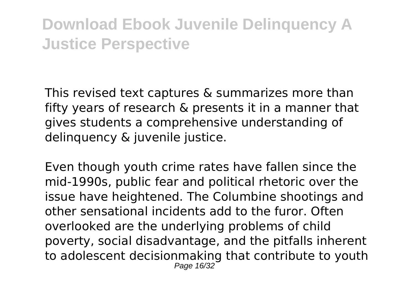This revised text captures & summarizes more than fifty years of research & presents it in a manner that gives students a comprehensive understanding of delinquency & juvenile justice.

Even though youth crime rates have fallen since the mid-1990s, public fear and political rhetoric over the issue have heightened. The Columbine shootings and other sensational incidents add to the furor. Often overlooked are the underlying problems of child poverty, social disadvantage, and the pitfalls inherent to adolescent decisionmaking that contribute to youth Page 16/32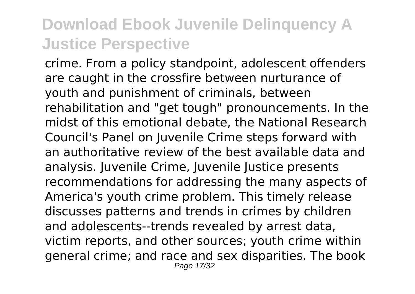crime. From a policy standpoint, adolescent offenders are caught in the crossfire between nurturance of youth and punishment of criminals, between rehabilitation and "get tough" pronouncements. In the midst of this emotional debate, the National Research Council's Panel on Juvenile Crime steps forward with an authoritative review of the best available data and analysis. Juvenile Crime, Juvenile Justice presents recommendations for addressing the many aspects of America's youth crime problem. This timely release discusses patterns and trends in crimes by children and adolescents--trends revealed by arrest data, victim reports, and other sources; youth crime within general crime; and race and sex disparities. The book Page 17/32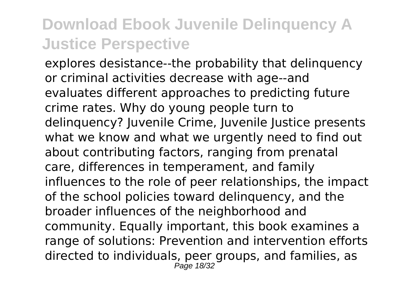explores desistance--the probability that delinquency or criminal activities decrease with age--and evaluates different approaches to predicting future crime rates. Why do young people turn to delinquency? Juvenile Crime, Juvenile Justice presents what we know and what we urgently need to find out about contributing factors, ranging from prenatal care, differences in temperament, and family influences to the role of peer relationships, the impact of the school policies toward delinquency, and the broader influences of the neighborhood and community. Equally important, this book examines a range of solutions: Prevention and intervention efforts directed to individuals, peer groups, and families, as Page 18/32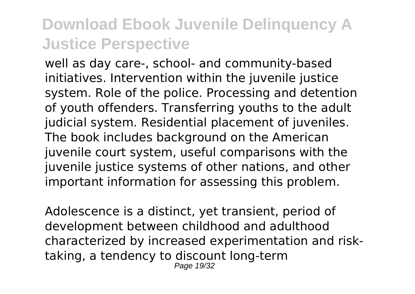well as day care-, school- and community-based initiatives. Intervention within the juvenile justice system. Role of the police. Processing and detention of youth offenders. Transferring youths to the adult judicial system. Residential placement of juveniles. The book includes background on the American juvenile court system, useful comparisons with the juvenile justice systems of other nations, and other important information for assessing this problem.

Adolescence is a distinct, yet transient, period of development between childhood and adulthood characterized by increased experimentation and risktaking, a tendency to discount long-term Page 19/32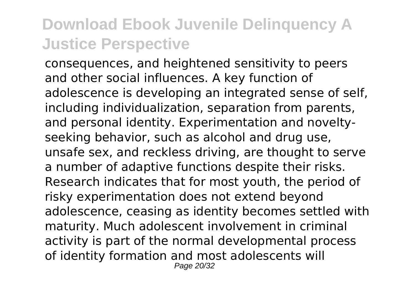consequences, and heightened sensitivity to peers and other social influences. A key function of adolescence is developing an integrated sense of self, including individualization, separation from parents, and personal identity. Experimentation and noveltyseeking behavior, such as alcohol and drug use, unsafe sex, and reckless driving, are thought to serve a number of adaptive functions despite their risks. Research indicates that for most youth, the period of risky experimentation does not extend beyond adolescence, ceasing as identity becomes settled with maturity. Much adolescent involvement in criminal activity is part of the normal developmental process of identity formation and most adolescents will Page 20/32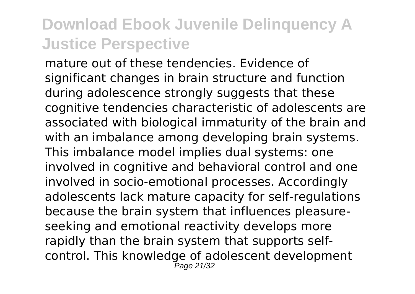mature out of these tendencies. Evidence of significant changes in brain structure and function during adolescence strongly suggests that these cognitive tendencies characteristic of adolescents are associated with biological immaturity of the brain and with an imbalance among developing brain systems. This imbalance model implies dual systems: one involved in cognitive and behavioral control and one involved in socio-emotional processes. Accordingly adolescents lack mature capacity for self-regulations because the brain system that influences pleasureseeking and emotional reactivity develops more rapidly than the brain system that supports selfcontrol. This knowledge of adolescent development Page 21/32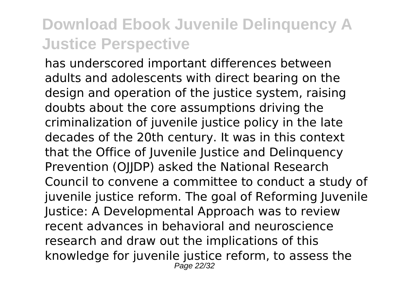has underscored important differences between adults and adolescents with direct bearing on the design and operation of the justice system, raising doubts about the core assumptions driving the criminalization of juvenile justice policy in the late decades of the 20th century. It was in this context that the Office of Juvenile Justice and Delinquency Prevention (OJJDP) asked the National Research Council to convene a committee to conduct a study of juvenile justice reform. The goal of Reforming Juvenile Justice: A Developmental Approach was to review recent advances in behavioral and neuroscience research and draw out the implications of this knowledge for juvenile justice reform, to assess the Page 22/32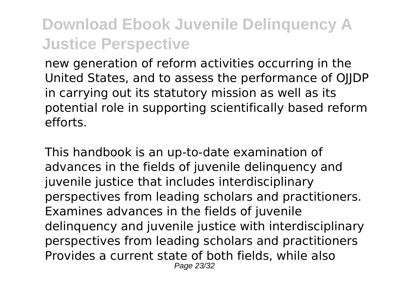new generation of reform activities occurring in the United States, and to assess the performance of OJJDP in carrying out its statutory mission as well as its potential role in supporting scientifically based reform efforts.

This handbook is an up-to-date examination of advances in the fields of juvenile delinquency and juvenile justice that includes interdisciplinary perspectives from leading scholars and practitioners. Examines advances in the fields of juvenile delinquency and juvenile justice with interdisciplinary perspectives from leading scholars and practitioners Provides a current state of both fields, while also Page 23/32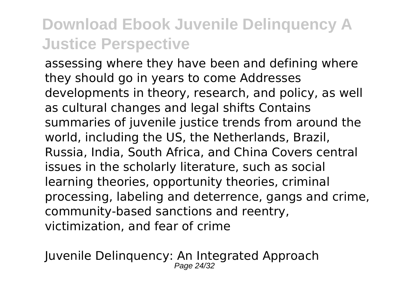assessing where they have been and defining where they should go in years to come Addresses developments in theory, research, and policy, as well as cultural changes and legal shifts Contains summaries of juvenile justice trends from around the world, including the US, the Netherlands, Brazil, Russia, India, South Africa, and China Covers central issues in the scholarly literature, such as social learning theories, opportunity theories, criminal processing, labeling and deterrence, gangs and crime, community-based sanctions and reentry, victimization, and fear of crime

Juvenile Delinquency: An Integrated Approach Page 24/32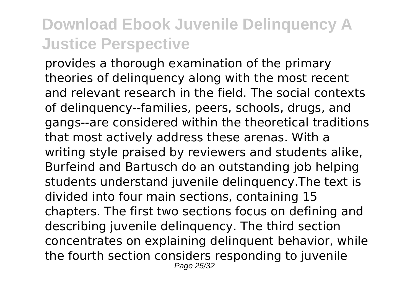provides a thorough examination of the primary theories of delinquency along with the most recent and relevant research in the field. The social contexts of delinquency--families, peers, schools, drugs, and gangs--are considered within the theoretical traditions that most actively address these arenas. With a writing style praised by reviewers and students alike, Burfeind and Bartusch do an outstanding job helping students understand juvenile delinquency.The text is divided into four main sections, containing 15 chapters. The first two sections focus on defining and describing juvenile delinquency. The third section concentrates on explaining delinquent behavior, while the fourth section considers responding to juvenile Page 25/32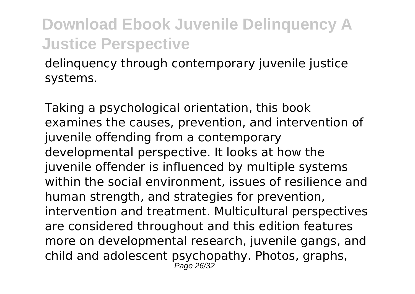delinquency through contemporary juvenile justice systems.

Taking a psychological orientation, this book examines the causes, prevention, and intervention of juvenile offending from a contemporary developmental perspective. It looks at how the iuvenile offender is influenced by multiple systems within the social environment, issues of resilience and human strength, and strategies for prevention, intervention and treatment. Multicultural perspectives are considered throughout and this edition features more on developmental research, juvenile gangs, and child and adolescent psychopathy. Photos, graphs, Page 26/32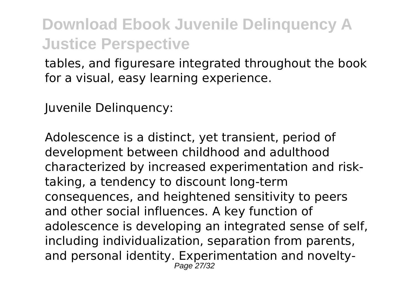tables, and figuresare integrated throughout the book for a visual, easy learning experience.

Juvenile Delinquency:

Adolescence is a distinct, yet transient, period of development between childhood and adulthood characterized by increased experimentation and risktaking, a tendency to discount long-term consequences, and heightened sensitivity to peers and other social influences. A key function of adolescence is developing an integrated sense of self, including individualization, separation from parents, and personal identity. Experimentation and novelty-Page 27/32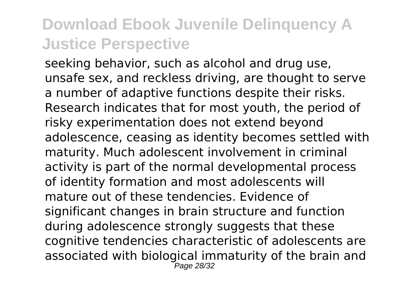seeking behavior, such as alcohol and drug use, unsafe sex, and reckless driving, are thought to serve a number of adaptive functions despite their risks. Research indicates that for most youth, the period of risky experimentation does not extend beyond adolescence, ceasing as identity becomes settled with maturity. Much adolescent involvement in criminal activity is part of the normal developmental process of identity formation and most adolescents will mature out of these tendencies. Evidence of significant changes in brain structure and function during adolescence strongly suggests that these cognitive tendencies characteristic of adolescents are associated with biological immaturity of the brain and Page 28/32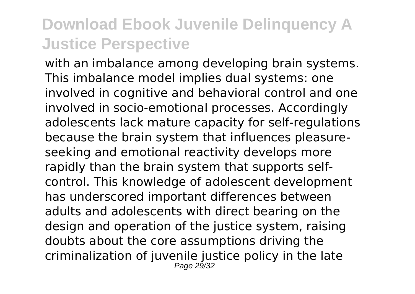with an imbalance among developing brain systems. This imbalance model implies dual systems: one involved in cognitive and behavioral control and one involved in socio-emotional processes. Accordingly adolescents lack mature capacity for self-regulations because the brain system that influences pleasureseeking and emotional reactivity develops more rapidly than the brain system that supports selfcontrol. This knowledge of adolescent development has underscored important differences between adults and adolescents with direct bearing on the design and operation of the justice system, raising doubts about the core assumptions driving the criminalization of juvenile justice policy in the late Page 29/32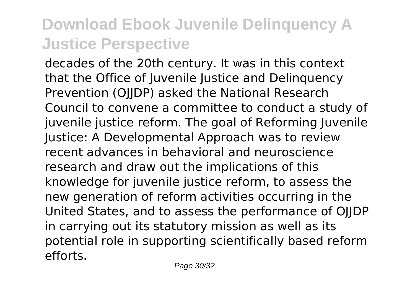decades of the 20th century. It was in this context that the Office of Juvenile Justice and Delinquency Prevention (OJJDP) asked the National Research Council to convene a committee to conduct a study of juvenile justice reform. The goal of Reforming Juvenile Justice: A Developmental Approach was to review recent advances in behavioral and neuroscience research and draw out the implications of this knowledge for juvenile justice reform, to assess the new generation of reform activities occurring in the United States, and to assess the performance of OJJDP in carrying out its statutory mission as well as its potential role in supporting scientifically based reform efforts.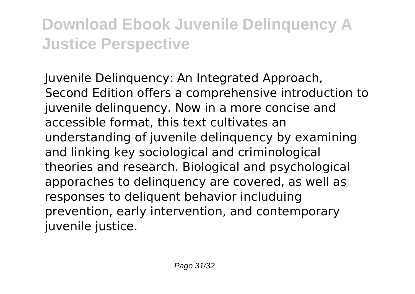Juvenile Delinquency: An Integrated Approach, Second Edition offers a comprehensive introduction to juvenile delinquency. Now in a more concise and accessible format, this text cultivates an understanding of juvenile delinquency by examining and linking key sociological and criminological theories and research. Biological and psychological apporaches to delinquency are covered, as well as responses to deliquent behavior includuing prevention, early intervention, and contemporary juvenile justice.